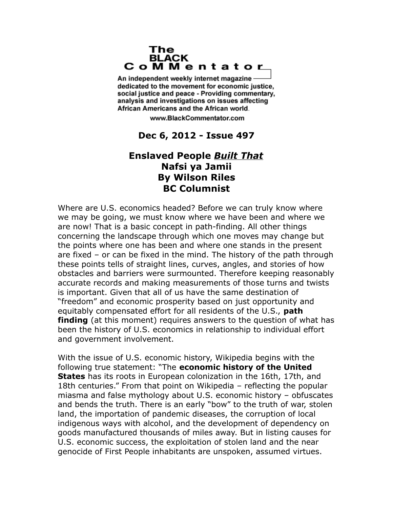## The **BLACK** CoMMentator

An independent weekly internet magazine dedicated to the movement for economic justice. social justice and peace - Providing commentary, analysis and investigations on issues affecting African Americans and the African world.

www.BlackCommentator.com

## **Dec 6, 2012 - Issue 497**

## **Enslaved People** *Built That* **Nafsi ya Jamii By Wilson Riles BC Columnist**

Where are U.S. economics headed? Before we can truly know where we may be going, we must know where we have been and where we are now! That is a basic concept in path-finding. All other things concerning the landscape through which one moves may change but the points where one has been and where one stands in the present are fixed – or can be fixed in the mind. The history of the path through these points tells of straight lines, curves, angles, and stories of how obstacles and barriers were surmounted. Therefore keeping reasonably accurate records and making measurements of those turns and twists is important. Given that all of us have the same destination of "freedom" and economic prosperity based on just opportunity and equitably compensated effort for all residents of the U.S., **path finding** (at this moment) requires answers to the question of what has been the history of U.S. economics in relationship to individual effort and government involvement.

With the issue of U.S. economic history, Wikipedia begins with the following true statement: "The **economic history of the United States** has its roots in European colonization in the 16th, 17th, and 18th centuries." From that point on Wikipedia – reflecting the popular miasma and false mythology about U.S. economic history – obfuscates and bends the truth. There is an early "bow" to the truth of war, stolen land, the importation of pandemic diseases, the corruption of local indigenous ways with alcohol, and the development of dependency on goods manufactured thousands of miles away. But in listing causes for U.S. economic success, the exploitation of stolen land and the near genocide of First People inhabitants are unspoken, assumed virtues.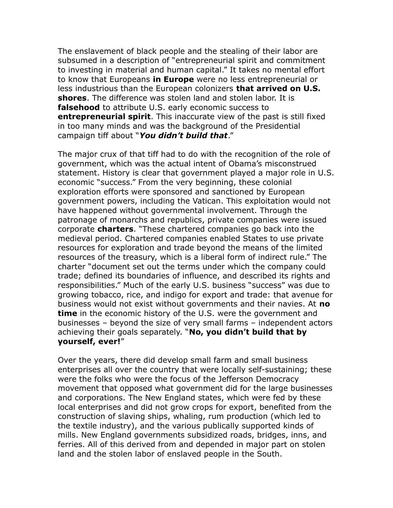The enslavement of black people and the stealing of their labor are subsumed in a description of "entrepreneurial spirit and commitment to investing in material and human capital." It takes no mental effort to know that Europeans **in Europe** were no less entrepreneurial or less industrious than the European colonizers **that arrived on U.S. shores**. The difference was stolen land and stolen labor. It is **falsehood** to attribute U.S. early economic success to **entrepreneurial spirit**. This inaccurate view of the past is still fixed in too many minds and was the background of the Presidential campaign tiff about "*You didn't build that*."

The major crux of that tiff had to do with the recognition of the role of government, which was the actual intent of Obama's misconstrued statement. History is clear that government played a major role in U.S. economic "success." From the very beginning, these colonial exploration efforts were sponsored and sanctioned by European government powers, including the Vatican. This exploitation would not have happened without governmental involvement. Through the patronage of monarchs and republics, private companies were issued corporate **charters**. "These chartered companies go back into the medieval period. Chartered companies enabled States to use private resources for exploration and trade beyond the means of the limited resources of the treasury, which is a liberal form of indirect rule." The charter "document set out the terms under which the company could trade; defined its boundaries of influence, and described its rights and responsibilities." Much of the early U.S. business "success" was due to growing tobacco, rice, and indigo for export and trade: that avenue for business would not exist without governments and their navies. At **no time** in the economic history of the U.S. were the government and businesses – beyond the size of very small farms – independent actors achieving their goals separately. "**No, you didn't build that by yourself, ever!**"

Over the years, there did develop small farm and small business enterprises all over the country that were locally self-sustaining; these were the folks who were the focus of the Jefferson Democracy movement that opposed what government did for the large businesses and corporations. The New England states, which were fed by these local enterprises and did not grow crops for export, benefited from the construction of slaving ships, whaling, rum production (which led to the textile industry), and the various publically supported kinds of mills. New England governments subsidized roads, bridges, inns, and ferries. All of this derived from and depended in major part on stolen land and the stolen labor of enslaved people in the South.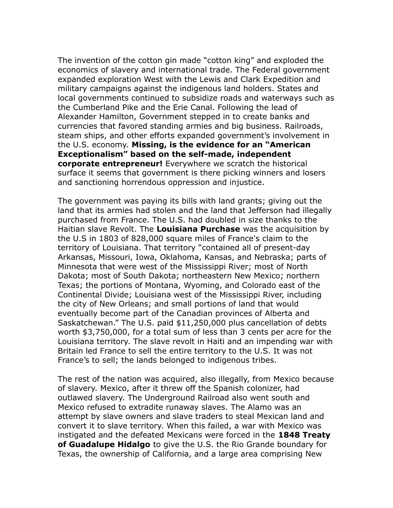The invention of the cotton gin made "cotton king" and exploded the economics of slavery and international trade. The Federal government expanded exploration West with the Lewis and Clark Expedition and military campaigns against the indigenous land holders. States and local governments continued to subsidize roads and waterways such as the Cumberland Pike and the Erie Canal. Following the lead of Alexander Hamilton, Government stepped in to create banks and currencies that favored standing armies and big business. Railroads, steam ships, and other efforts expanded government's involvement in the U.S. economy. **Missing, is the evidence for an "American Exceptionalism" based on the self-made, independent corporate entrepreneur!** Everywhere we scratch the historical surface it seems that government is there picking winners and losers and sanctioning horrendous oppression and injustice.

The government was paying its bills with land grants; giving out the land that its armies had stolen and the land that Jefferson had illegally purchased from France. The U.S. had doubled in size thanks to the Haitian slave Revolt. The **Louisiana Purchase** was the acquisition by the U.S in 1803 of 828,000 square miles of France's claim to the territory of Louisiana. That territory "contained all of present-day Arkansas, Missouri, Iowa, Oklahoma, Kansas, and Nebraska; parts of Minnesota that were west of the Mississippi River; most of North Dakota; most of South Dakota; northeastern New Mexico; northern Texas; the portions of Montana, Wyoming, and Colorado east of the Continental Divide; Louisiana west of the Mississippi River, including the city of New Orleans; and small portions of land that would eventually become part of the Canadian provinces of Alberta and Saskatchewan." The U.S. paid \$11,250,000 plus cancellation of debts worth \$3,750,000, for a total sum of less than 3 cents per acre for the Louisiana territory. The slave revolt in Haiti and an impending war with Britain led France to sell the entire territory to the U.S. It was not France's to sell; the lands belonged to indigenous tribes.

The rest of the nation was acquired, also illegally, from Mexico because of slavery. Mexico, after it threw off the Spanish colonizer, had outlawed slavery. The Underground Railroad also went south and Mexico refused to extradite runaway slaves. The Alamo was an attempt by slave owners and slave traders to steal Mexican land and convert it to slave territory. When this failed, a war with Mexico was instigated and the defeated Mexicans were forced in the **1848 Treaty of Guadalupe Hidalgo** to give the U.S. the Rio Grande boundary for Texas, the ownership of California, and a large area comprising New